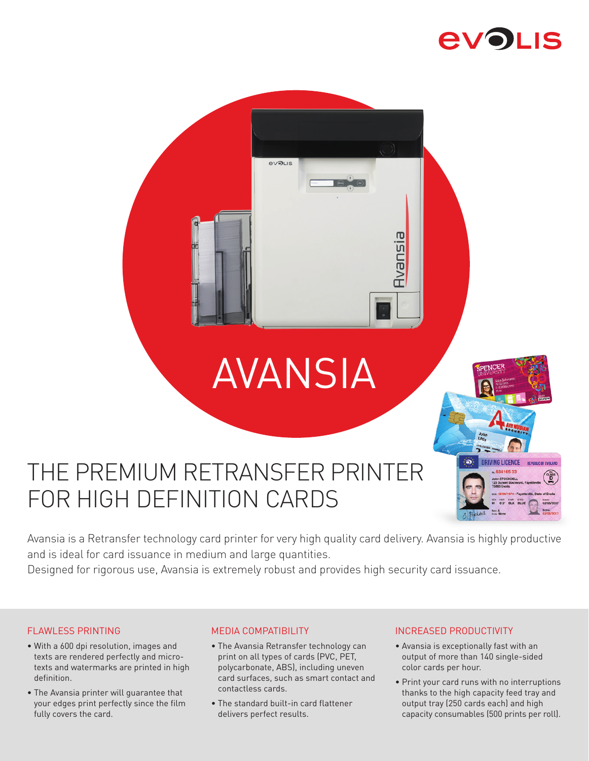# **EVOLIS**

# AVANSIA

**RizuevE** 

**evolis** 

### ີ່ **RIVING LICENCE** 63416533 6'3" BLK BLUE Holdell

## THE PREMIUM RETRANSFER PRINTER FOR HIGH DEFINITION CARDS

Avansia is a Retransfer technology card printer for very high quality card delivery. Avansia is highly productive and is ideal for card issuance in medium and large quantities.

Designed for rigorous use, Avansia is extremely robust and provides high security card issuance.

#### FLAWLESS PRINTING

- With a 600 dpi resolution, images and texts are rendered perfectly and microtexts and watermarks are printed in high definition.
- The Avansia printer will guarantee that your edges print perfectly since the film fully covers the card.

#### MEDIA COMPATIBILITY

- The Avansia Retransfer technology can print on all types of cards (PVC, PET, polycarbonate, ABS), including uneven card surfaces, such as smart contact and contactless cards.
- The standard built-in card flattener delivers perfect results.

#### INCREASED PRODUCTIVITY

- Avansia is exceptionally fast with an output of more than 140 single-sided color cards per hour.
- Print your card runs with no interruptions thanks to the high capacity feed tray and output tray (250 cards each) and high capacity consumables (500 prints per roll).